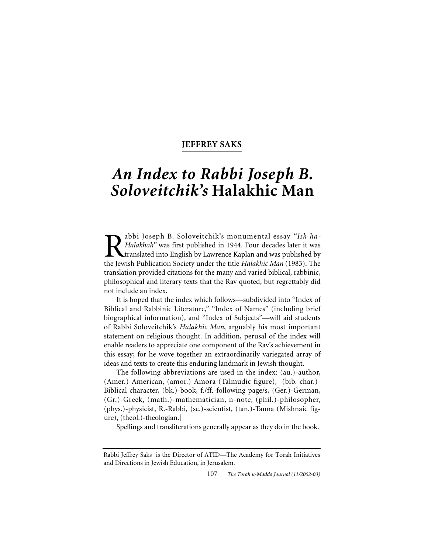# **JEFFREY SAKS**

# *An Index to Rabbi Joseph B. Soloveitchik's* **Halakhic Man**

**Rabbi Joseph B. Soloveitchik's monumental essay "Ish ha-<br>Halakhah" was first published in 1944. Four decades later it was<br>translated into English by Lawrence Kaplan and was published by<br>the Jewish Publication Society unde** *Halakhah"* was first published in 1944. Four decades later it was translated into English by Lawrence Kaplan and was published by the Jewish Publication Society under the title *Halakhic Man* (1983). The translation provided citations for the many and varied biblical, rabbinic, philosophical and literary texts that the Rav quoted, but regrettably did not include an index.

It is hoped that the index which follows—subdivided into "Index of Biblical and Rabbinic Literature," "Index of Names" (including brief biographical information), and "Index of Subjects"—will aid students of Rabbi Soloveitchik's *Halakhic Man*, arguably his most important statement on religious thought. In addition, perusal of the index will enable readers to appreciate one component of the Rav's achievement in this essay; for he wove together an extraordinarily variegated array of ideas and texts to create this enduring landmark in Jewish thought.

The following abbreviations are used in the index: (au.)-author, (Amer.)-American, (amor.)-Amora (Talmudic figure), (bib. char.)- Biblical character, (bk.)-book, f./ff.-following page/s, (Ger.)-German, (Gr.)-Greek, (math.)-mathematician, n-note, (phil.)-philosopher, (phys.)-physicist, R.-Rabbi, (sc.)-scientist, (tan.)-Tanna (Mishnaic figure), (theol.)-theologian.]

Spellings and transliterations generally appear as they do in the book.

107 *The Torah u-Madda Journal (11/2002-03)*

Rabbi Jeffrey Saks is the Director of ATID—The Academy for Torah Initiatives and Directions in Jewish Education, in Jerusalem.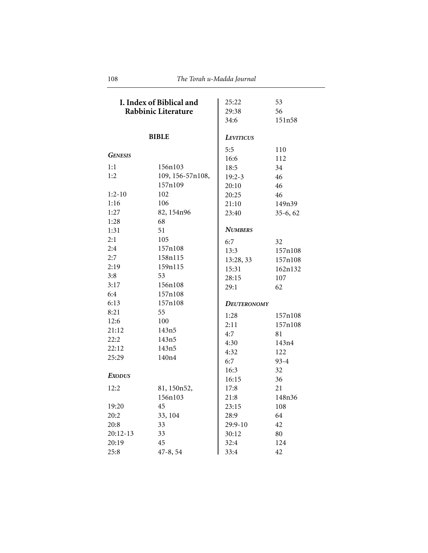| I. Index of Biblical and<br>Rabbinic Literature |                   | 25:22<br>29:38     | 53<br>56   |
|-------------------------------------------------|-------------------|--------------------|------------|
|                                                 |                   | 34:6               | 151n58     |
|                                                 |                   |                    |            |
|                                                 | <b>BIBLE</b>      | <b>LEVITICUS</b>   |            |
|                                                 |                   | 5:5                | 110        |
| <b>GENESIS</b>                                  |                   | 16:6               | 112        |
| 1:1                                             | 156n103           | 18:5               | 34         |
| 1:2                                             | 109, 156-57n108,  | $19:2 - 3$         | 46         |
|                                                 | 157n109           | 20:10              | 46         |
| $1:2-10$                                        | 102               | 20:25              | 46         |
| 1:16                                            | 106               | 21:10              | 149n39     |
| 1:27                                            | 82, 154n96        | 23:40              | $35-6, 62$ |
| 1:28                                            | 68                |                    |            |
| 1:31                                            | 51                | <b>NUMBERS</b>     |            |
| 2:1                                             | 105               | 6:7                | 32         |
| 2:4                                             | 157n108           | 13:3               | 157n108    |
| 2:7                                             | 158n115           | 13:28, 33          | 157n108    |
| 2:19                                            | 159n115           | 15:31              | 162n132    |
| 3:8                                             | 53                | 28:15              | 107        |
| 3:17                                            | 156n108           | 29:1               | 62         |
| 6:4                                             | 157n108           |                    |            |
| 6:13                                            | 157n108           | <b>DEUTERONOMY</b> |            |
| 8:21                                            | 55                | 1:28               | 157n108    |
| 12:6                                            | 100               | 2:11               | 157n108    |
| 21:12                                           | 143n5             | 4:7                | 81         |
| 22:2                                            | 143n5             | 4:30               | 143n4      |
| 22:12                                           | 143n5             | 4:32               | 122        |
| 25:29                                           | 140 <sub>n4</sub> | 6:7                | $93 - 4$   |
|                                                 |                   | 16:3               | 32         |
| <b>EXODUS</b>                                   |                   | 16:15              | 36         |
| 12:2                                            | 81, 150n52,       | 17:8               | 21         |
|                                                 | 156n103           | 21:8               | 148n36     |
| 19:20                                           | 45                | 23:15              | 108        |
| 20:2                                            | 33, 104           | 28:9               | 64         |
| 20:8                                            | 33                | 29:9-10            | 42         |
| $20:12-13$                                      | 33                | 30:12              | 80         |
| 20:19                                           | 45                | 32:4               | 124        |
| 25:8                                            |                   | 33:4               | 42         |
|                                                 | 47-8, 54          |                    |            |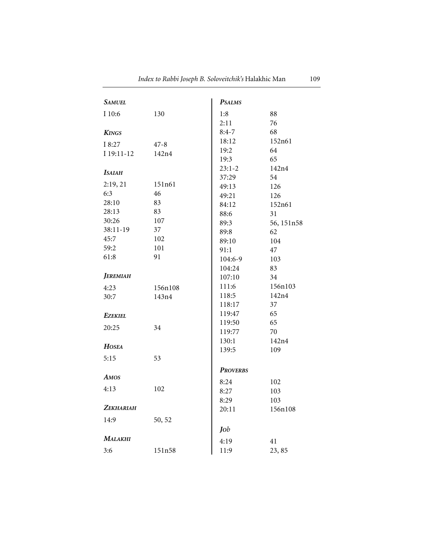| Samuel               |                   | <b>PSALMS</b>   |            |
|----------------------|-------------------|-----------------|------------|
| I 10:6               | 130               | 1:8             | 88         |
|                      |                   | 2:11            | 76         |
| <b>KINGS</b>         |                   | $8:4-7$         | 68         |
|                      |                   | 18:12           | 152n61     |
| I 8:27<br>I 19:11-12 | $47 - 8$<br>142n4 | 19:2            | 64         |
|                      |                   | 19:3            | 65         |
|                      |                   | $23:1-2$        | 142n4      |
| <b>ISAIAH</b>        |                   | 37:29           | 54         |
| 2:19, 21             | 151n61            | 49:13           | 126        |
| 6:3                  | 46                | 49:21           | 126        |
| 28:10                | 83                | 84:12           | 152n61     |
| 28:13                | 83                | 88:6            | 31         |
| 30:26                | 107               | 89:3            | 56, 151n58 |
| 38:11-19             | 37                | 89:8            | 62         |
| 45:7                 | 102               | 89:10           | 104        |
| 59:2                 | 101               | 91:1            | 47         |
| 61:8                 | 91                | 104:6-9         | 103        |
|                      |                   | 104:24          | 83         |
| <b>JEREMIAH</b>      |                   | 107:10          | 34         |
| 4:23                 | 156n108           | 111:6           | 156n103    |
| 30:7                 | 143n4             | 118:5           | 142n4      |
|                      |                   | 118:17          | 37         |
| <b>EZEKIEL</b>       |                   | 119:47          | 65         |
|                      | 34                | 119:50          | 65         |
| 20:25                |                   | 119:77          | 70         |
|                      |                   | 130:1           | 142n4      |
| HOSEA                |                   | 139:5           | 109        |
| 5:15                 | 53                |                 |            |
|                      |                   | <b>PROVERBS</b> |            |
| AMOS                 |                   | 8:24            | 102        |
| 4:13                 | 102               | 8:27            | 103        |
|                      |                   | 8:29            | 103        |
| <b>ZEKHARIAH</b>     |                   | 20:11           | 156n108    |
| 14:9                 | 50, 52            |                 |            |
|                      |                   | Job             |            |
| MALAKHI              |                   |                 |            |
|                      |                   | 4:19            | 41         |
| 3:6                  | 151n58            | 11:9            | 23,85      |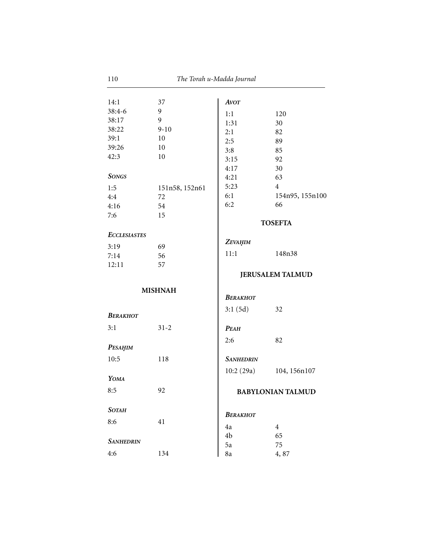| 14:1                | 37             | <b>AVOT</b>             |                          |
|---------------------|----------------|-------------------------|--------------------------|
| $38:4-6$            | 9              | 1:1                     | 120                      |
| 38:17               | 9              | 1:31                    | 30                       |
| 38:22               | $9 - 10$       | 2:1                     | 82                       |
| 39:1                | 10             | 2:5                     | 89                       |
| 39:26               | 10             | 3:8                     | 85                       |
| 42:3                | 10             | 3:15                    | 92                       |
|                     |                | 4:17                    | 30                       |
| <b>SONGS</b>        |                | 4:21                    | 63                       |
| 1:5                 | 151n58, 152n61 | 5:23                    | $\overline{4}$           |
| 4:4                 | 72             | 6:1                     | 154n95, 155n100          |
| 4:16                | 54             | 6:2                     | 66                       |
| 7:6                 | 15             |                         |                          |
|                     |                |                         | <b>TOSEFTA</b>           |
| <b>ECCLESIASTES</b> |                |                         |                          |
| 3:19                | 69             | ZEVAHIM                 |                          |
| 7:14                | 56             | 11:1                    | 148n38                   |
| 12:11               | 57             |                         |                          |
|                     |                |                         | <b>JERUSALEM TALMUD</b>  |
|                     |                |                         |                          |
|                     | <b>MISHNAH</b> | <b>BERAKHOT</b>         |                          |
|                     |                |                         |                          |
| <b>BERAKHOT</b>     |                | 3:1(5d)                 | 32                       |
| 3:1                 | $31 - 2$       |                         |                          |
|                     |                | <b>PEAH</b>             |                          |
|                     |                | 2:6                     | 82                       |
| PESAHIM             |                |                         |                          |
| 10:5                | 118            | <b>SANHEDRIN</b>        |                          |
|                     |                | 10:2 (29a) 104, 156n107 |                          |
| YOMA                |                |                         |                          |
| 8:5                 | 92             |                         | <b>BABYLONIAN TALMUD</b> |
|                     |                |                         |                          |
| <b>SOTAH</b>        |                |                         |                          |
| 8:6                 | 41             | <b>BERAKHOT</b>         |                          |
|                     |                | 4a                      | $\overline{4}$           |
| <b>SANHEDRIN</b>    |                | 4b                      | 65                       |
|                     |                | 5a                      | 75                       |
| 4:6                 | 134            | 8a                      | 4,87                     |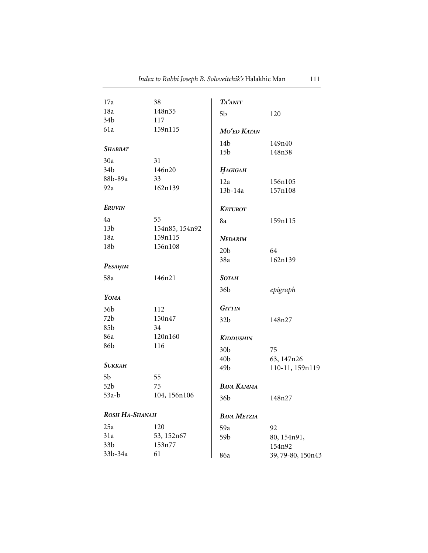| 17a             | 38             | <b>TA'ANIT</b>     |                   |
|-----------------|----------------|--------------------|-------------------|
| 18a             | 148n35         |                    |                   |
| 34b             | 117            | 5 <sub>b</sub>     | 120               |
| 61a             | 159n115        | MO'ED KATAN        |                   |
|                 |                |                    |                   |
| <b>SHABBAT</b>  |                | 14 <sub>b</sub>    | 149n40            |
| 30a             | 31             | 15 <sub>b</sub>    | 148n38            |
| 34 <sub>b</sub> | 146n20         | HAGIGAH            |                   |
| 88b-89a         | 33             |                    |                   |
| 92a             | 162n139        | 12a                | 156n105           |
|                 |                | 13b-14a            | 157n108           |
| <b>ERUVIN</b>   |                | <b>KETUBOT</b>     |                   |
| 4a              | 55             | 8a                 | 159n115           |
| 13 <sub>b</sub> | 154n85, 154n92 |                    |                   |
| 18a             | 159n115        | <b>NEDARIM</b>     |                   |
| 18 <sub>b</sub> | 156n108        | 20 <sub>b</sub>    | 64                |
|                 |                | 38a                | 162n139           |
| PESAHIM         |                |                    |                   |
| 58a             | 146n21         | <b>SOTAH</b>       |                   |
|                 |                | 36 <sub>b</sub>    | epigraph          |
| YOMA            |                |                    |                   |
| 36b             | 112            | <b>GITTIN</b>      |                   |
| 72b             | 150n47         | 32 <sub>b</sub>    | 148n27            |
| 85b             | 34             |                    |                   |
| 86a             | 120n160        | <b>KIDDUSHIN</b>   |                   |
| 86b             | 116            | 30 <sub>b</sub>    | 75                |
|                 |                | 40 <sub>b</sub>    | 63, 147n26        |
| <b>SUKKAH</b>   |                | 49 <sub>b</sub>    | 110-11, 159n119   |
| 5b              | 55             |                    |                   |
| 52b             | 75             | <b>BAVA KAMMA</b>  |                   |
| 53a-b           | 104, 156n106   | 36b                | 148n27            |
| ROSH HA-SHANAH  |                | <b>BAVA METZIA</b> |                   |
| 25a             | 120            | 59a                | 92                |
| 31a             | 53, 152n67     | 59b                | 80, 154n91,       |
| 33 <sub>b</sub> | 153n77         |                    | 154n92            |
| 33b-34a         | 61             | 86a                | 39, 79-80, 150n43 |
|                 |                |                    |                   |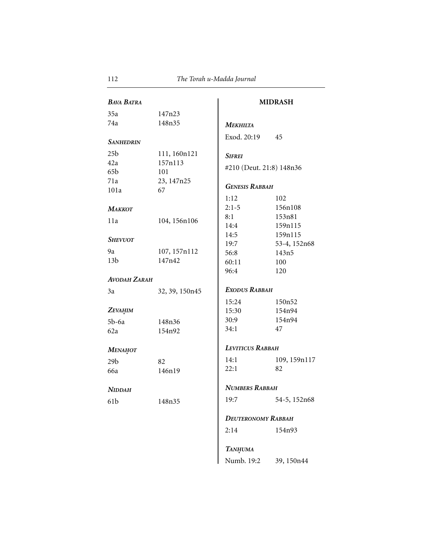| <b>BAVA BATRA</b>   |                |                           | <b>MIDRASH</b> |
|---------------------|----------------|---------------------------|----------------|
| 35a                 | 147n23         |                           |                |
| 74a                 | 148n35         | <b>МЕКНІLТА</b>           |                |
| <b>SANHEDRIN</b>    |                | Exod. 20:19               | 45             |
| 25 <sub>b</sub>     | 111, 160n121   | <b>SIFREI</b>             |                |
| 42a                 | 157n113        |                           |                |
| 65 <sub>b</sub>     | 101            | #210 (Deut. 21:8) 148n36  |                |
| 71a                 | 23, 147n25     |                           |                |
| 101a                | 67             | <b>GENESIS RABBAH</b>     |                |
|                     |                | 1:12                      | 102            |
| МАККОТ              |                | $2:1-5$                   | 156n108        |
| 11a                 | 104, 156n106   | 8:1                       | 153n81         |
|                     |                | 14:4                      | 159n115        |
| <b>SHEVUOT</b>      |                | 14:5                      | 159n115        |
|                     |                | 19:7                      | 53-4, 152n68   |
| 9a                  | 107, 157n112   | 56:8                      | 143n5          |
| 13 <sub>b</sub>     | 147n42         | 60:11                     | 100            |
|                     |                | 96:4                      | 120            |
| <b>AVODAH ZARAH</b> |                |                           |                |
| 3a                  | 32, 39, 150n45 | EXODUS RABBAH             |                |
|                     |                | 15:24                     | 150n52         |
| ZEVAHIM             |                | 15:30                     | 154n94         |
| $5b-6a$             | 148n36         | 30:9                      | 154n94         |
| 62a                 | 154n92         | 34:1                      | 47             |
| МЕНАНОТ             |                | <b>LEVITICUS RABBAH</b>   |                |
| 29 <sub>b</sub>     | 82             | 14:1                      | 109, 159n117   |
| 66a                 | 146n19         | 22:1                      | 82             |
|                     |                | <b>NUMBERS RABBAH</b>     |                |
| <b>NIDDAH</b>       |                |                           |                |
| 61 <sub>b</sub>     | 148n35         | 19:7                      | 54-5, 152n68   |
|                     |                | <b>DEUTERONOMY RABBAH</b> |                |
|                     |                | 2:14                      | 154n93         |
|                     |                | <b>TANHUMA</b>            |                |

Numb. 19:2 39, 150n44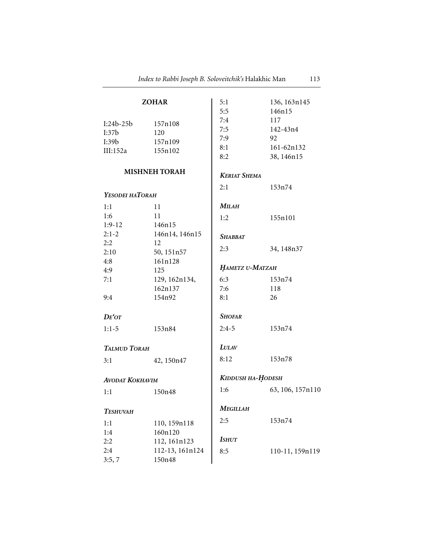| <b>ZOHAR</b>           |                      | 5:1                 | 136, 163n145     |
|------------------------|----------------------|---------------------|------------------|
|                        |                      | 5:5                 | 146n15           |
| $I:24b-25b$            | 157n108              | 7:4                 | 117              |
| I:37b                  | 120                  | 7:5                 | 142-43n4         |
| I:39b                  | 157n109              | 7:9                 | 92               |
| III:152a 155n102       |                      | 8:1                 | 161-62n132       |
|                        |                      | 8:2                 | 38, 146n15       |
|                        | <b>MISHNEH TORAH</b> | <b>KERIAT SHEMA</b> |                  |
|                        |                      | 2:1                 | 153n74           |
| YESODEI HATORAH        |                      |                     |                  |
| 1:1                    | 11                   | MILAH               |                  |
| 1:6                    | 11                   | 1:2                 | 155n101          |
| $1:9-12$               | 146n15               |                     |                  |
| $2:1-2$                | 146n14, 146n15       | <b>SHABBAT</b>      |                  |
| 2:2                    | 12                   | 2:3                 | 34, 148n37       |
| 2:10                   | 50, 151n57           |                     |                  |
| 4:8                    | 161n128              | HAMETZ U-MATZAH     |                  |
| 4:9                    | 125                  |                     |                  |
| 7:1                    | 129, 162n134,        | 6:3                 | 153n74           |
|                        | 162n137              | 7:6                 | 118              |
| 9:4                    | 154n92               | 8:1                 | 26               |
| $DE'$ OT               |                      | <b>SHOFAR</b>       |                  |
| $1:1-5$                | 153n84               | $2:4-5$             | 153n74           |
| TALMUD TORAH           |                      | <b>LULAV</b>        |                  |
| 3:1                    | 42, 150n47           | 8:12                | 153n78           |
|                        |                      |                     |                  |
| <b>AVODAT KOKHAVIM</b> |                      | KIDDUSH HA-HODESH   |                  |
| 1:1                    | 150n48               | 1:6                 | 63, 106, 157n110 |
| <b>ТЕSHUVAH</b>        |                      | Megillah            |                  |
|                        |                      | 2:5                 | 153n74           |
| 1:1                    | 110, 159n118         |                     |                  |
| 1:4                    | 160n120              | <b>ISHUT</b>        |                  |
| 2:2                    | 112, 161n123         |                     |                  |
| 2:4                    | 112-13, 161n124      | 8:5                 | 110-11, 159n119  |
| 3:5,7                  | 150n48               |                     |                  |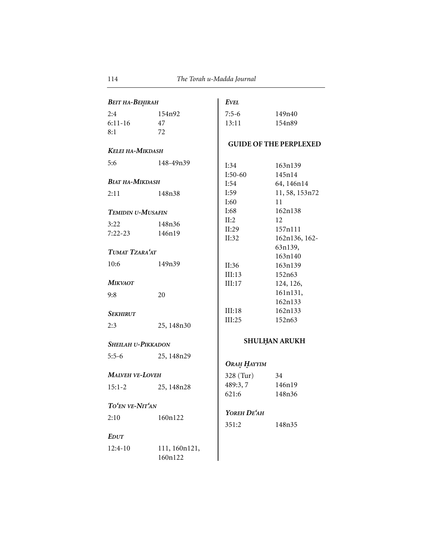| ВЕІТ НА-ВЕНІКАН        |                          | <b>EVEL</b>        |                               |  |
|------------------------|--------------------------|--------------------|-------------------------------|--|
| 2:4                    | 154n92                   | $7:5-6$            | 149n40                        |  |
| $6:11-16$              | 47                       | 13:11              | 154n89                        |  |
| 8:1                    | 72                       |                    |                               |  |
|                        |                          |                    | <b>GUIDE OF THE PERPLEXED</b> |  |
| KELEI HA-MIKDASH       |                          |                    |                               |  |
| 5:6                    | 148-49n39                | I:34               | 163n139                       |  |
|                        |                          | $I:50-60$          | 145n14                        |  |
| <b>BIAT HA-MIKDASH</b> |                          | I:54               | 64, 146n14                    |  |
| 2:11                   | 148n38                   | I:59               | 11, 58, 153n72                |  |
|                        |                          | I:60               | 11                            |  |
| TEMIDIN U-MUSAFIN      |                          | I:68               | 162n138                       |  |
| 3:22                   | 148n36                   | II:2               | 12                            |  |
| 7:22-23                | 146n19                   | II:29              | 157n111                       |  |
|                        |                          | II:32              | 162n136, 162-                 |  |
| TUMAT TZARA'AT         |                          |                    | 63n139,                       |  |
|                        |                          |                    | 163n140                       |  |
| 10:6                   | 149n39                   | II:36              | 163n139                       |  |
|                        |                          | III:13             | 152n63                        |  |
| Mikvaot                |                          | III:17             | 124, 126,                     |  |
| 9:8                    | 20                       |                    | 161n131,                      |  |
|                        |                          |                    | 162n133                       |  |
| Sekhirut               |                          | III:18             | 162n133                       |  |
| 2:3                    | 25, 148n30               | III:25             | 152n63                        |  |
| SHEILAH U-PIKKADON     |                          |                    | <b>SHULHAN ARUKH</b>          |  |
|                        |                          |                    |                               |  |
| $5:5-6$                | 25, 148n29               | Окан НАҮҮІМ        |                               |  |
| MALVEH VE-LOVEH        |                          | 328 (Tur)          | 34                            |  |
|                        |                          | 489:3, 7           | 146n19                        |  |
| $15:1 - 2$             | 25, 148n28               | 621:6              | 148n36                        |  |
| TO'EN VE-NIT'AN        |                          |                    |                               |  |
|                        |                          | <b>YOREH DE'AH</b> |                               |  |
| 2:10                   | 160n122                  | 351:2              | 148n35                        |  |
| Edut                   |                          |                    |                               |  |
|                        |                          |                    |                               |  |
| 12:4-10                | 111, 160n121,<br>160n122 |                    |                               |  |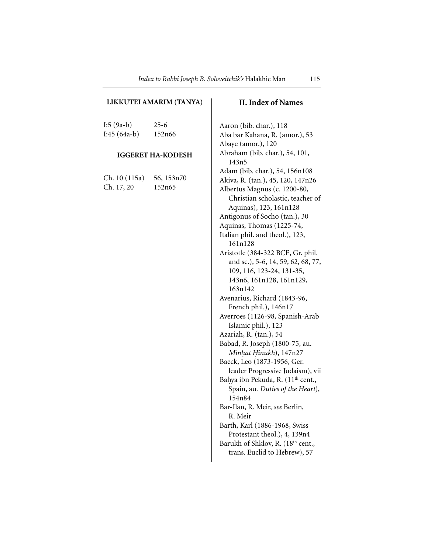### **LIKKUTEI AMARIM (TANYA)**

I:5 (9a-b) 25-6 I:45 (64a-b) 152n66

#### **IGGERET HA-KODESH**

| Ch. 10 (115a) | 56, 153n70 |
|---------------|------------|
| Ch. 17, 20    | 152n65     |

## **II. Index of Names**

Aaron (bib. char.), 118 Aba bar Kahana, R. (amor.), 53 Abaye (amor.), 120 Abraham (bib. char.), 54, 101, 143n5 Adam (bib. char.), 54, 156n108 Akiva, R. (tan.), 45, 120, 147n26 Albertus Magnus (c. 1200-80, Christian scholastic, teacher of Aquinas), 123, 161n128 Antigonus of Socho (tan.), 30 Aquinas, Thomas (1225-74, Italian phil. and theol.), 123, 161n128 Aristotle (384-322 BCE, Gr. phil. and sc.), 5-6, 14, 59, 62, 68, 77, 109, 116, 123-24, 131-35, 143n6, 161n128, 161n129, 163n142 Avenarius, Richard (1843-96, French phil.), 146n17 Averroes (1126-98, Spanish-Arab Islamic phil.), 123 Azariah, R. (tan.), 54 Babad, R. Joseph (1800-75, au. *Minh. at H. inukh*), 147n27 Baeck, Leo (1873-1956, Ger. leader Progressive Judaism), vii Bahya ibn Pekuda, R. (11<sup>th</sup> cent., Spain, au. *Duties of the Heart*), 154n84 Bar-Ilan, R. Meir, *see* Berlin, R. Meir Barth, Karl (1886-1968, Swiss Protestant theol.), 4, 139n4 Barukh of Shklov, R. (18<sup>th</sup> cent., trans. Euclid to Hebrew), 57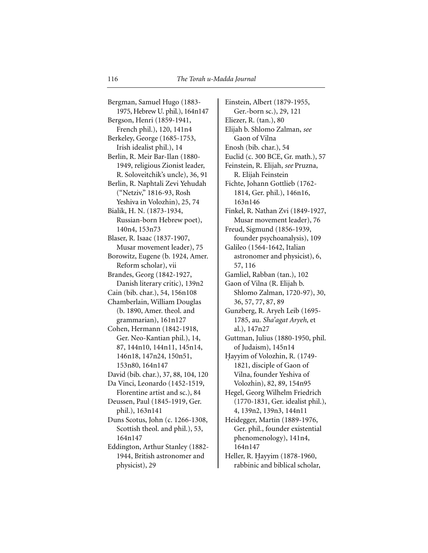Bergman, Samuel Hugo (1883- 1975, Hebrew U. phil.), 164n147 Bergson, Henri (1859-1941, French phil.), 120, 141n4 Berkeley, George (1685-1753, Irish idealist phil.), 14 Berlin, R. Meir Bar-Ilan (1880- 1949, religious Zionist leader, R. Soloveitchik's uncle), 36, 91 Berlin, R. Naphtali Zevi Yehudah ("Netziv," 1816-93, Rosh Yeshiva in Volozhin), 25, 74 Bialik, H. N. (1873-1934, Russian-born Hebrew poet), 140n4, 153n73 Blaser, R. Isaac (1837-1907, Musar movement leader), 75 Borowitz, Eugene (b. 1924, Amer. Reform scholar), vii Brandes, Georg (1842-1927, Danish literary critic), 139n2 Cain (bib. char.), 54, 156n108 Chamberlain, William Douglas (b. 1890, Amer. theol. and grammarian), 161n127 Cohen, Hermann (1842-1918, Ger. Neo-Kantian phil.), 14, 87, 144n10, 144n11, 145n14, 146n18, 147n24, 150n51, 153n80, 164n147 David (bib. char.), 37, 88, 104, 120 Da Vinci, Leonardo (1452-1519, Florentine artist and sc.), 84 Deussen, Paul (1845-1919, Ger. phil.), 163n141 Duns Scotus, John (c. 1266-1308, Scottish theol. and phil.), 53, 164n147 Eddington, Arthur Stanley (1882- 1944, British astronomer and physicist), 29

Einstein, Albert (1879-1955, Ger.-born sc.), 29, 121 Eliezer, R. (tan.), 80 Elijah b. Shlomo Zalman, *see* Gaon of Vilna Enosh (bib. char.), 54 Euclid (c. 300 BCE, Gr. math.), 57 Feinstein, R. Elijah, *see* Pruzna, R. Elijah Feinstein Fichte, Johann Gottlieb (1762- 1814, Ger. phil.), 146n16, 163n146 Finkel, R. Nathan Zvi (1849-1927, Musar movement leader), 76 Freud, Sigmund (1856-1939, founder psychoanalysis), 109 Galileo (1564-1642, Italian astronomer and physicist), 6, 57, 116 Gamliel, Rabban (tan.), 102 Gaon of Vilna (R. Elijah b. Shlomo Zalman, 1720-97), 30, 36, 57, 77, 87, 89 Gunzberg, R. Aryeh Leib (1695- 1785, au. *Sha'agat Aryeh*, et al.), 147n27 Guttman, Julius (1880-1950, phil. of Judaism), 145n14 Hayyim of Volozhin, R. (1749-1821, disciple of Gaon of Vilna, founder Yeshiva of Volozhin), 82, 89, 154n95 Hegel, Georg Wilhelm Friedrich (1770-1831, Ger. idealist phil.), 4, 139n2, 139n3, 144n11 Heidegger, Martin (1889-1976, Ger. phil., founder existential phenomenology), 141n4, 164n147 Heller, R. Hayyim (1878-1960, rabbinic and biblical scholar,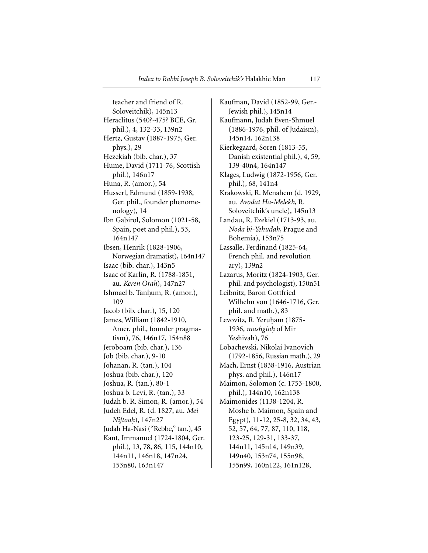teacher and friend of R. Soloveitchik), 145n13 Heraclitus (540?-475? BCE, Gr. phil.), 4, 132-33, 139n2 Hertz, Gustav (1887-1975, Ger. phys.), 29 Hezekiah (bib. char.), 37 Hume, David (1711-76, Scottish phil.), 146n17 Huna, R. (amor.), 54 Husserl, Edmund (1859-1938, Ger. phil., founder phenomenology), 14 Ibn Gabirol, Solomon (1021-58, Spain, poet and phil.), 53, 164n147 Ibsen, Henrik (1828-1906, Norwegian dramatist), 164n147 Isaac (bib. char.), 143n5 Isaac of Karlin, R. (1788-1851, au. *Keren Orah*), 147n27 Ishmael b. Tanhum, R. (amor.), 109 Jacob (bib. char.), 15, 120 James, William (1842-1910, Amer. phil., founder pragmatism), 76, 146n17, 154n88 Jeroboam (bib. char.), 136 Job (bib. char.), 9-10 Johanan, R. (tan.), 104 Joshua (bib. char.), 120 Joshua, R. (tan.), 80-1 Joshua b. Levi, R. (tan.), 33 Judah b. R. Simon, R. (amor.), 54 Judeh Edel, R. (d. 1827, au. *Mei Niftoah.*), 147n27 Judah Ha-Nasi ("Rebbe," tan.), 45 Kant, Immanuel (1724-1804, Ger. phil.), 13, 78, 86, 115, 144n10, 144n11, 146n18, 147n24, 153n80, 163n147

Kaufman, David (1852-99, Ger.- Jewish phil.), 145n14 Kaufmann, Judah Even-Shmuel (1886-1976, phil. of Judaism), 145n14, 162n138 Kierkegaard, Soren (1813-55, Danish existential phil.), 4, 59, 139-40n4, 164n147 Klages, Ludwig (1872-1956, Ger. phil.), 68, 141n4 Krakowski, R. Menahem (d. 1929, au. *Avodat Ha-Melekh*, R. Soloveitchik's uncle), 145n13 Landau, R. Ezekiel (1713-93, au. *Noda bi-Yehudah*, Prague and Bohemia), 153n75 Lassalle, Ferdinand (1825-64, French phil. and revolution ary), 139n2 Lazarus, Moritz (1824-1903, Ger. phil. and psychologist), 150n51 Leibnitz, Baron Gottfried Wilhelm von (1646-1716, Ger. phil. and math.), 83 Levovitz, R. Yeruham (1875-1936, *mashgiah.* of Mir Yeshivah), 76 Lobachevski, Nikolai Ivanovich (1792-1856, Russian math.), 29 Mach, Ernst (1838-1916, Austrian phys. and phil.), 146n17 Maimon, Solomon (c. 1753-1800, phil.), 144n10, 162n138 Maimonides (1138-1204, R. Moshe b. Maimon, Spain and Egypt), 11-12, 25-8, 32, 34, 43, 52, 57, 64, 77, 87, 110, 118, 123-25, 129-31, 133-37, 144n11, 145n14, 149n39, 149n40, 153n74, 155n98, 155n99, 160n122, 161n128,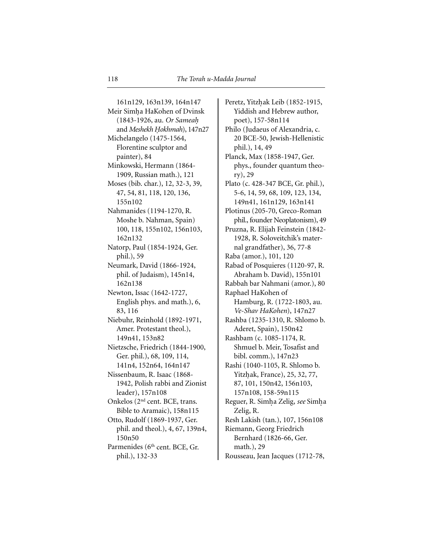161n129, 163n139, 164n147 Meir Simha HaKohen of Dvinsk (1843-1926, au. *Or Sameah.* and *Meshekh Hokhmah*), 147n27 Michelangelo (1475-1564, Florentine sculptor and painter), 84 Minkowski, Hermann (1864- 1909, Russian math.), 121 Moses (bib. char.), 12, 32-3, 39, 47, 54, 81, 118, 120, 136, 155n102 Nahmanides (1194-1270, R. Moshe b. Nahman, Spain) 100, 118, 155n102, 156n103, 162n132 Natorp, Paul (1854-1924, Ger. phil.), 59 Neumark, David (1866-1924, phil. of Judaism), 145n14, 162n138 Newton, Issac (1642-1727, English phys. and math.), 6, 83, 116 Niebuhr, Reinhold (1892-1971, Amer. Protestant theol.), 149n41, 153n82 Nietzsche, Friedrich (1844-1900, Ger. phil.), 68, 109, 114, 141n4, 152n64, 164n147 Nissenbaum, R. Isaac (1868- 1942, Polish rabbi and Zionist leader), 157n108 Onkelos (2nd cent. BCE, trans. Bible to Aramaic), 158n115 Otto, Rudolf (1869-1937, Ger. phil. and theol.), 4, 67, 139n4, 150n50 Parmenides (6<sup>th</sup> cent. BCE, Gr. phil.), 132-33

Peretz, Yitzhak Leib (1852-1915, Yiddish and Hebrew author, poet), 157-58n114 Philo (Judaeus of Alexandria, c. 20 BCE-50, Jewish-Hellenistic phil.), 14, 49 Planck, Max (1858-1947, Ger. phys., founder quantum theory), 29 Plato (c. 428-347 BCE, Gr. phil.), 5-6, 14, 59, 68, 109, 123, 134, 149n41, 161n129, 163n141 Plotinus (205-70, Greco-Roman phil., founder Neoplatonism), 49 Pruzna, R. Elijah Feinstein (1842- 1928, R. Soloveitchik's maternal grandfather), 36, 77-8 Raba (amor.), 101, 120 Rabad of Posquieres (1120-97, R. Abraham b. David), 155n101 Rabbah bar Nahmani (amor.), 80 Raphael HaKohen of Hamburg, R. (1722-1803, au. *Ve-Shav HaKohen*), 147n27 Rashba (1235-1310, R. Shlomo b. Aderet, Spain), 150n42 Rashbam (c. 1085-1174, R. Shmuel b. Meir, Tosafist and bibl. comm.), 147n23 Rashi (1040-1105, R. Shlomo b. Yitzhak, France), 25, 32, 77, 87, 101, 150n42, 156n103, 157n108, 158-59n115 Reguer, R. Simha Zelig, *see* Simha Zelig, R. Resh Lakish (tan.), 107, 156n108 Riemann, Georg Friedrich Bernhard (1826-66, Ger. math.), 29 Rousseau, Jean Jacques (1712-78,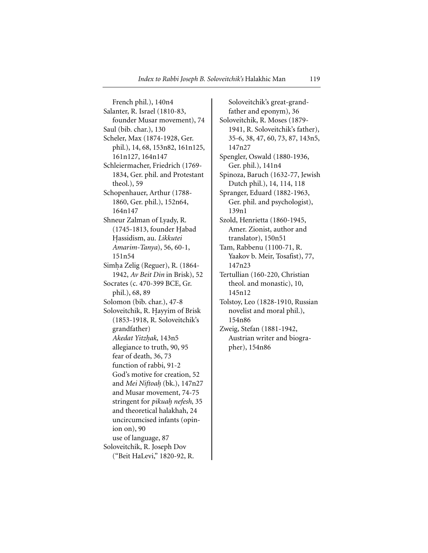French phil.), 140n4 Salanter, R. Israel (1810-83, founder Musar movement), 74 Saul (bib. char.), 130 Scheler, Max (1874-1928, Ger. phil.), 14, 68, 153n82, 161n125, 161n127, 164n147 Schleiermacher, Friedrich (1769- 1834, Ger. phil. and Protestant theol.), 59 Schopenhauer, Arthur (1788- 1860, Ger. phil.), 152n64, 164n147 Shneur Zalman of Lyady, R. (1745-1813, founder Habad H.assidism, au. *Likkutei Amarim-Tanya*), 56, 60-1, 151n54 Simha Zelig (Reguer), R. (1864-1942, *Av Beit Din* in Brisk), 52 Socrates (c. 470-399 BCE, Gr. phil.), 68, 89 Solomon (bib. char.), 47-8 Soloveitchik, R. Hayyim of Brisk (1853-1918, R. Soloveitchik's grandfather) *Akedat Yitzh. ak*, 143n5 allegiance to truth, 90, 95 fear of death, 36, 73 function of rabbi, 91-2 God's motive for creation, 52 and *Mei Niftoah.* (bk.), 147n27 and Musar movement, 74-75 stringent for *pikuah. nefesh*, 35 and theoretical halakhah, 24 uncircumcised infants (opinion on), 90 use of language, 87 Soloveitchik, R. Joseph Dov ("Beit HaLevi," 1820-92, R.

Soloveitchik's great-grandfather and eponym), 36 Soloveitchik, R. Moses (1879- 1941, R. Soloveitchik's father), 35-6, 38, 47, 60, 73, 87, 143n5, 147n27 Spengler, Oswald (1880-1936, Ger. phil.), 141n4 Spinoza, Baruch (1632-77, Jewish Dutch phil.), 14, 114, 118 Spranger, Eduard (1882-1963, Ger. phil. and psychologist), 139n1 Szold, Henrietta (1860-1945, Amer. Zionist, author and translator), 150n51 Tam, Rabbenu (1100-71, R. Yaakov b. Meir, Tosafist), 77, 147n23 Tertullian (160-220, Christian theol. and monastic), 10, 145n12 Tolstoy, Leo (1828-1910, Russian novelist and moral phil.), 154n86 Zweig, Stefan (1881-1942, Austrian writer and biographer), 154n86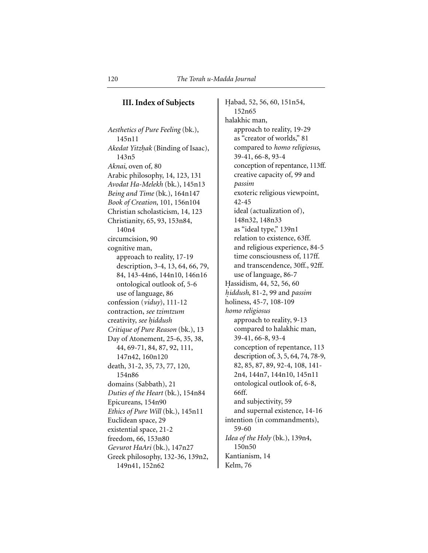## **III. Index of Subjects**

*Aesthetics of Pure Feeling* (bk.), 145n11 *Akedat Yitzhak* (Binding of Isaac), 143n5 *Aknai*, oven of*,* 80 Arabic philosophy, 14, 123, 131 *Avodat Ha-Melekh* (bk.), 145n13 *Being and Time* (bk.), 164n147 *Book of Creation*, 101, 156n104 Christian scholasticism, 14, 123 Christianity, 65, 93, 153n84, 140n4 circumcision, 90 cognitive man, approach to reality, 17-19 description, 3-4, 13, 64, 66, 79, 84, 143-44n6, 144n10, 146n16 ontological outlook of, 5-6 use of language, 86 confession (*viduy*), 111-12 contraction, *see tzimtzum* creativity, *see h. iddush Critique of Pure Reason* (bk.), 13 Day of Atonement, 25-6, 35, 38, 44, 69-71, 84, 87, 92, 111, 147n42, 160n120 death, 31-2, 35, 73, 77, 120, 154n86 domains (Sabbath), 21 *Duties of the Heart* (bk.), 154n84 Epicureans, 154n90 *Ethics of Pure Will* (bk.), 145n11 Euclidean space, 29 existential space, 21-2 freedom, 66, 153n80 *Gevurot HaAri* (bk.), 147n27 Greek philosophy, 132-36, 139n2, 149n41, 152n62

Habad, 52, 56, 60, 151n54, 152n65 halakhic man, approach to reality, 19-29 as "creator of worlds," 81 compared to *homo religiosus*, 39-41, 66-8, 93-4 conception of repentance, 113ff. creative capacity of, 99 and *passim* exoteric religious viewpoint, 42-45 ideal (actualization of), 148n32, 148n33 as "ideal type," 139n1 relation to existence, 63ff. and religious experience, 84-5 time consciousness of, 117ff. and transcendence, 30ff., 92ff. use of language, 86-7 Hassidism, 44, 52, 56, 60 *h. iddush*, 81-2, 99 and *passim* holiness, 45-7, 108-109 *homo religiosus* approach to reality, 9-13 compared to halakhic man, 39-41, 66-8, 93-4 conception of repentance, 113 description of, 3, 5, 64, 74, 78-9, 82, 85, 87, 89, 92-4, 108, 141- 2n4, 144n7, 144n10, 145n11 ontological outlook of, 6-8, 66ff. and subjectivity, 59 and supernal existence, 14-16 intention (in commandments), 59-60 *Idea of the Holy* (bk.), 139n4, 150n50 Kantianism, 14 Kelm, 76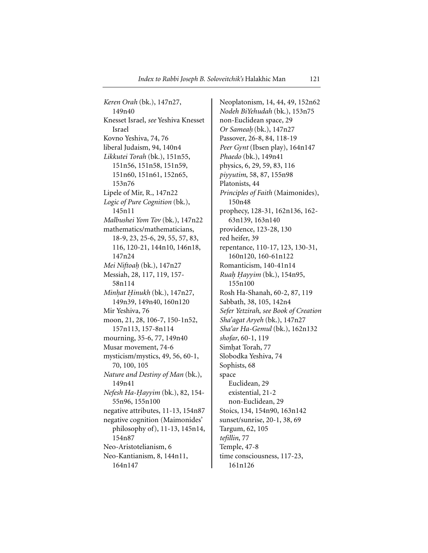*Keren Orah* (bk.), 147n27, 149n40 Knesset Israel, *see* Yeshiva Knesset Israel Kovno Yeshiva, 74, 76 liberal Judaism, 94, 140n4 *Likkutei Torah* (bk.), 151n55, 151n56, 151n58, 151n59, 151n60, 151n61, 152n65, 153n76 Lipele of Mir, R., 147n22 *Logic of Pure Cognition* (bk.), 145n11 *Malbushei Yom Tov* (bk.), 147n22 mathematics/mathematicians, 18-9, 23, 25-6, 29, 55, 57, 83, 116, 120-21, 144n10, 146n18, 147n24 *Mei Niftoah.* (bk.), 147n27 Messiah, 28, 117, 119, 157- 58n114 *Minhat Hinukh* (bk.), 147n27, 149n39, 149n40, 160n120 Mir Yeshiva, 76 moon, 21, 28, 106-7, 150-1n52, 157n113, 157-8n114 mourning, 35-6, 77, 149n40 Musar movement, 74-6 mysticism/mystics, 49, 56, 60-1, 70, 100, 105 *Nature and Destiny of Man* (bk.), 149n41 *Nefesh Ha-Hayyim* (bk.), 82, 154-55n96, 155n100 negative attributes, 11-13, 154n87 negative cognition (Maimonides' philosophy of), 11-13, 145n14, 154n87 Neo-Aristotelianism, 6 Neo-Kantianism, 8, 144n11, 164n147

Neoplatonism, 14, 44, 49, 152n62 *Nodeh BiYehudah* (bk.), 153n75 non-Euclidean space, 29 *Or Sameah.* (bk.), 147n27 Passover, 26-8, 84, 118-19 *Peer Gynt* (Ibsen play), 164n147 *Phaedo* (bk.), 149n41 physics, 6, 29, 59, 83, 116 *piyyutim*, 58, 87, 155n98 Platonists, 44 *Principles of Faith* (Maimonides), 150n48 prophecy, 128-31, 162n136, 162- 63n139, 163n140 providence, 123-28, 130 red heifer, 39 repentance, 110-17, 123, 130-31, 160n120, 160-61n122 Romanticism, 140-41n14 *Ruah. H. ayyim* (bk.), 154n95, 155n100 Rosh Ha-Shanah, 60-2, 87, 119 Sabbath, 38, 105, 142n4 *Sefer Yetzirah*, *see Book of Creation Sha'agat Aryeh* (bk.), 147n27 *Sha'ar Ha-Gemul* (bk.), 162n132 *shofar*, 60-1, 119 Simhat Torah, 77 Slobodka Yeshiva, 74 Sophists, 68 space Euclidean, 29 existential, 21-2 non-Euclidean, 29 Stoics, 134, 154n90, 163n142 sunset/sunrise, 20-1, 38, 69 Targum, 62, 105 *tefillin*, 77 Temple, 47-8 time consciousness, 117-23, 161n126